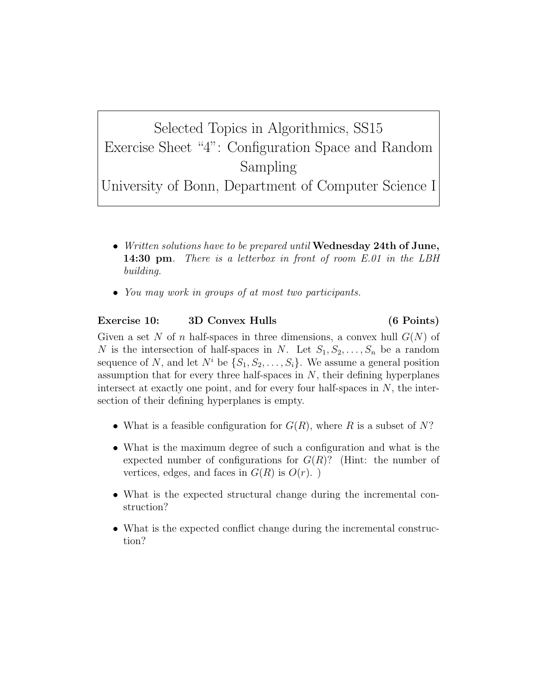Selected Topics in Algorithmics, SS15 Exercise Sheet "4": Configuration Space and Random Sampling University of Bonn, Department of Computer Science I

- Written solutions have to be prepared until Wednesday 24th of June, 14:30 pm. There is a letterbox in front of room E.01 in the LBH building.
- You may work in groups of at most two participants.

## Exercise 10: 3D Convex Hulls (6 Points)

Given a set N of n half-spaces in three dimensions, a convex hull  $G(N)$  of N is the intersection of half-spaces in N. Let  $S_1, S_2, \ldots, S_n$  be a random sequence of N, and let  $N^i$  be  $\{S_1, S_2, \ldots, S_i\}$ . We assume a general position assumption that for every three half-spaces in  $N$ , their defining hyperplanes intersect at exactly one point, and for every four half-spaces in  $N$ , the intersection of their defining hyperplanes is empty.

- What is a feasible configuration for  $G(R)$ , where R is a subset of N?
- What is the maximum degree of such a configuration and what is the expected number of configurations for  $G(R)$ ? (Hint: the number of vertices, edges, and faces in  $G(R)$  is  $O(r)$ .
- What is the expected structural change during the incremental construction?
- What is the expected conflict change during the incremental construction?